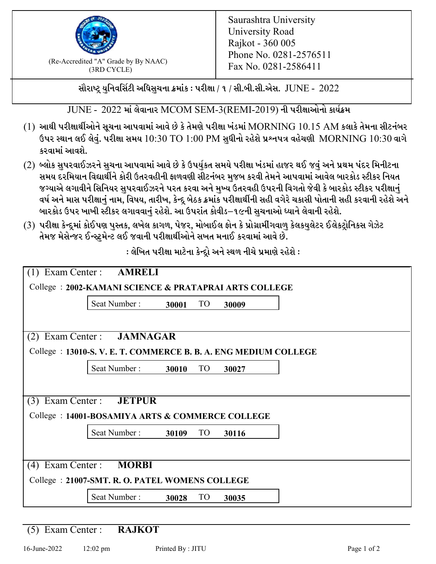

 $F_{\text{R}}$  (Re-Accredited "A" Grade by By NAAC)<br>(3PD CVCLE)<br> $F_{\text{R}}$  No. 0281-2586411 (3RD CYCLE)

સૌરાષ્ટ્ર યુનિવર્સિટી અધિસુચના ક્રમાંક : પરીક્ષા / ૧ / સી.બી.સી.એસ.  $\,$  JUNE -  $\,2022$ 

JUNE - 2022 માં લેવાનાર MCOM SEM-3(REMI-2019) ની પરીક્ષાઓનો કાર્યક્રમ

- $(1)$  આથી પરીક્ષાર્થીઓને સૂચના આપવામાં આવે છે કે તેમણે પરીક્ષા ખંડમાં  $\operatorname{MORNING}$   $10.15$   $\operatorname{AM}$  કલાકે તેમના સીટનંબર ઉપર સ્થાન લઈ લેવું. પરીક્ષા સમય  $10:30 \text{ TO } 1:00 \text{ PM}$  સુધીનો રહેશે પ્રશ્નપત્ર વહેચણી  $\text{MORNING } 10:30$  વાગે કરવામાં આવશે.
- (2) બ્લોક સુપરવાઈઝરને સુચના આપવામાં આવે છે કે ઉપર્યુકત સમયે પરીક્ષા ખંડમાં હાજર થઈ જવું અને પ્રથમ પંદર મિનીટના સમય દરમિયાન વિદ્યાર્થીને કોરી ઉતરવહીની ફાળવણી સીટનંબર મજબ કરવી તેમને આપવામાં આવેલ બારકોડ સ્ટીકર નિયત જગ્યાએ લગાવીને સિનિયર સુપરવાઈઝરને પરત કરવા અને મુખ્ય ઉતરવહી ઉપરની વિગતો જેવી કે બારકોડ સ્ટીકર પરીક્ષ<u>ાન</u>ં વર્ષ અને માસ પરીક્ષાનું નામ, વિષય, તારીખ, કેન્દ્ર બેઠક ક્રમાંક પરીક્ષાર્થીની સહી વગેરે ચકાસી પોતાની સહી કરવાની રહેશે અને બારકોડ ઉપર ખાખી સ્ટીકર લગાવવાનં રહેશે. આ ઉપરાંત કોવીડ–૧૯ની સચનાઓ ધ્યાને લેવાની રહેશે.
- (3) પરીક્ષા કેન્દ્રમાં કોઈપણ પુસ્તક, લખેલ કાગળ, પેજર, મોબાઈલ ફોન કે પ્રોગ્રામીંગવાળુ કેલકયુલેટર ઈલેકટ્રોનિકસ ગેઝેટ તેમજ મેસેન્જર ઈન્સ્ટમેન્ટ લઈ જવાની પરીક્ષાર્થીઓને સખત મનાઈ કરવામાં આવે છે.

: લેખિત પરીક્ષા માટેના કેન્દ્રો અને સ્થળ નીચે પ્રમાણે રહેશે :

|                                                                 | Exam Center : AMRELI            |       |                 |       |  |  |  |  |
|-----------------------------------------------------------------|---------------------------------|-------|-----------------|-------|--|--|--|--|
| College: 2002-KAMANI SCIENCE & PRATAPRAI ARTS COLLEGE           |                                 |       |                 |       |  |  |  |  |
|                                                                 | Seat Number:                    | 30001 | TO <sub>1</sub> | 30009 |  |  |  |  |
| (2)                                                             | Exam Center : JAMNAGAR          |       |                 |       |  |  |  |  |
| College : 13010-S.V. E. T. COMMERCE B. B. A. ENG MEDIUM COLLEGE |                                 |       |                 |       |  |  |  |  |
|                                                                 | Seat Number:                    | 30010 | <b>TO</b>       | 30027 |  |  |  |  |
|                                                                 |                                 |       |                 |       |  |  |  |  |
|                                                                 | (3) Exam Center : <b>JETPUR</b> |       |                 |       |  |  |  |  |
| College: 14001-BOSAMIYA ARTS & COMMERCE COLLEGE                 |                                 |       |                 |       |  |  |  |  |
|                                                                 | Seat Number:                    | 30109 | TO              | 30116 |  |  |  |  |
|                                                                 |                                 |       |                 |       |  |  |  |  |
| Exam Center :<br><b>MORBI</b><br>(4)                            |                                 |       |                 |       |  |  |  |  |
| College: 21007-SMT. R. O. PATEL WOMENS COLLEGE                  |                                 |       |                 |       |  |  |  |  |
|                                                                 | Seat Number:                    | 30028 | <b>TO</b>       | 30035 |  |  |  |  |

(5) Exam Center : **RAJKOT**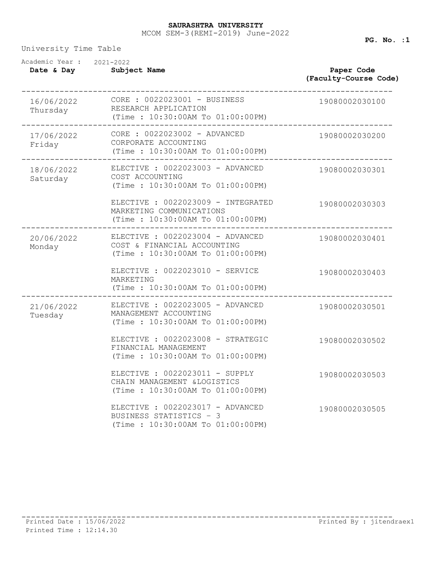## MCOM SEM-3(REMI-2019) June-2022 **SAURASHTRA UNIVERSITY**

University Time Table

| Academic Year: 2021-2022<br>Date & Day | Subject Name                                                                                                        | Paper Code<br>(Faculty-Course Code) |  |
|----------------------------------------|---------------------------------------------------------------------------------------------------------------------|-------------------------------------|--|
| Thursday                               | RESEARCH APPLICATION<br>(Time : 10:30:00AM To 01:00:00PM)                                                           | 19080002030100                      |  |
| 17/06/2022<br>Friday                   | CORE : 0022023002 - ADVANCED<br>CORPORATE ACCOUNTING<br>(Time: 10:30:00AM To 01:00:00PM)<br>----------------------- | 19080002030200                      |  |
| 18/06/2022<br>Saturday                 | ELECTIVE : 0022023003 - ADVANCED<br>COST ACCOUNTING<br>(Time: 10:30:00AM To 01:00:00PM)                             | 19080002030301                      |  |
|                                        | ELECTIVE : 0022023009 - INTEGRATED<br>MARKETING COMMUNICATIONS<br>(Time: 10:30:00AM To 01:00:00PM)                  | 19080002030303                      |  |
| 20/06/2022<br>Monday                   | ELECTIVE : 0022023004 - ADVANCED<br>COST & FINANCIAL ACCOUNTING<br>(Time: 10:30:00AM To 01:00:00PM)                 | 19080002030401                      |  |
|                                        | ELECTIVE : 0022023010 - SERVICE<br>MARKETING<br>(Time: 10:30:00AM To 01:00:00PM)                                    | 19080002030403                      |  |
| 21/06/2022<br>Tuesday                  | ELECTIVE : 0022023005 - ADVANCED<br>MANAGEMENT ACCOUNTING<br>(Time: 10:30:00AM To 01:00:00PM)                       | 19080002030501                      |  |
|                                        | ELECTIVE : 0022023008 - STRATEGIC<br>FINANCIAL MANAGEMENT<br>(Time: 10:30:00AM To 01:00:00PM)                       | 19080002030502                      |  |
|                                        | ELECTIVE : 0022023011 - SUPPLY<br>CHAIN MANAGEMENT & LOGISTICS<br>(Time: 10:30:00AM To 01:00:00PM)                  | 19080002030503                      |  |
|                                        | ELECTIVE : 0022023017 - ADVANCED<br>BUSINESS STATISTICS - 3<br>(Time: 10:30:00AM To 01:00:00PM)                     | 19080002030505                      |  |